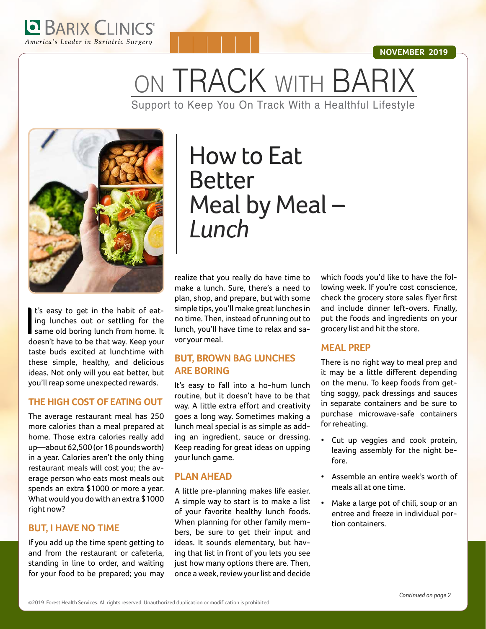

#### **NOVEMBER 2019**

ON TRACK WITH BARIX Support to Keep You On Track With a Healthful Lifestyle



I's easy to get in the habit of eat-<br>ing lunches out or settling for the<br>same old boring lunch from home. It<br>doesn't have to be that way. Keep your t's easy to get in the habit of eating lunches out or settling for the doesn't have to be that way. Keep your taste buds excited at lunchtime with these simple, healthy, and delicious ideas. Not only will you eat better, but you'll reap some unexpected rewards.

#### **THE HIGH COST OF EATING OUT**

The average restaurant meal has 250 more calories than a meal prepared at home. Those extra calories really add up—about 62,500 (or 18 pounds worth) in a year. Calories aren't the only thing restaurant meals will cost you; the average person who eats most meals out spends an extra \$1000 or more a year. What would you do with an extra \$1000 right now?

#### **BUT, I HAVE NO TIME**

If you add up the time spent getting to and from the restaurant or cafeteria, standing in line to order, and waiting for your food to be prepared; you may

# How to Eat Better Meal by Meal – *Lunch*

realize that you really do have time to make a lunch. Sure, there's a need to plan, shop, and prepare, but with some simple tips, you'll make great lunches in no time. Then, instead of running out to lunch, you'll have time to relax and savor your meal.

#### **BUT, BROWN BAG LUNCHES ARE BORING**

It's easy to fall into a ho-hum lunch routine, but it doesn't have to be that way. A little extra effort and creativity goes a long way. Sometimes making a lunch meal special is as simple as adding an ingredient, sauce or dressing. Keep reading for great ideas on upping your lunch game.

#### **PLAN AHEAD**

A little pre-planning makes life easier. A simple way to start is to make a list of your favorite healthy lunch foods. When planning for other family members, be sure to get their input and ideas. It sounds elementary, but having that list in front of you lets you see just how many options there are. Then, once a week, review your list and decide

which foods you'd like to have the following week. If you're cost conscience, check the grocery store sales flyer first and include dinner left-overs. Finally, put the foods and ingredients on your grocery list and hit the store.

#### **MEAL PREP**

There is no right way to meal prep and it may be a little different depending on the menu. To keep foods from getting soggy, pack dressings and sauces in separate containers and be sure to purchase microwave-safe containers for reheating.

- Cut up veggies and cook protein, leaving assembly for the night before.
- Assemble an entire week's worth of meals all at one time.
- Make a large pot of chili, soup or an entree and freeze in individual portion containers.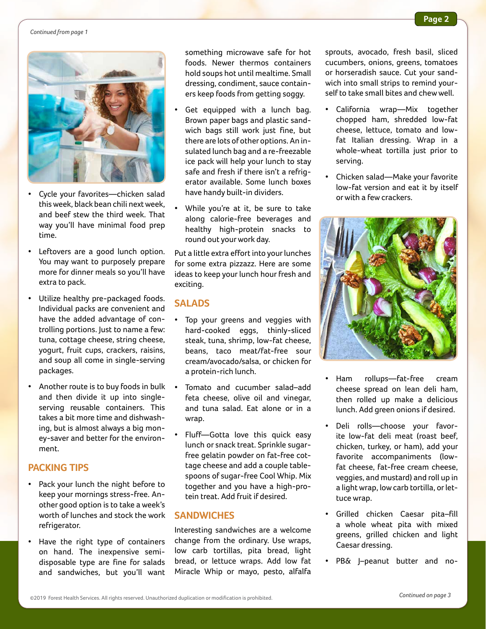#### *Continued from page 1*



- Cycle your favorites—chicken salad this week, black bean chili next week, and beef stew the third week. That way you'll have minimal food prep time.
- Leftovers are a good lunch option. You may want to purposely prepare more for dinner meals so you'll have extra to pack.
- Utilize healthy pre-packaged foods. Individual packs are convenient and have the added advantage of controlling portions. Just to name a few: tuna, cottage cheese, string cheese, yogurt, fruit cups, crackers, raisins, and soup all come in single-serving packages.
- Another route is to buy foods in bulk and then divide it up into singleserving reusable containers. This takes a bit more time and dishwashing, but is almost always a big money-saver and better for the environment.

#### **PACKING TIPS**

- Pack your lunch the night before to keep your mornings stress-free. Another good option is to take a week's worth of lunches and stock the work refrigerator.
- Have the right type of containers on hand. The inexpensive semidisposable type are fine for salads and sandwiches, but you'll want

something microwave safe for hot foods. Newer thermos containers hold soups hot until mealtime. Small dressing, condiment, sauce containers keep foods from getting soggy.

- Get equipped with a lunch bag. Brown paper bags and plastic sandwich bags still work just fine, but there are lots of other options. An insulated lunch bag and a re-freezable ice pack will help your lunch to stay safe and fresh if there isn't a refrigerator available. Some lunch boxes have handy built-in dividers.
- While you're at it, be sure to take along calorie-free beverages and healthy high-protein snacks to round out your work day.

Put a little extra effort into your lunches for some extra pizzazz. Here are some ideas to keep your lunch hour fresh and exciting.

#### **SALADS**

- Top your greens and veggies with hard-cooked eggs, thinly-sliced steak, tuna, shrimp, low-fat cheese, beans, taco meat/fat-free sour cream/avocado/salsa, or chicken for a protein-rich lunch.
- Tomato and cucumber salad-add feta cheese, olive oil and vinegar, and tuna salad. Eat alone or in a wrap.
- Fluff—Gotta love this quick easy lunch or snack treat. Sprinkle sugarfree gelatin powder on fat-free cottage cheese and add a couple tablespoons of sugar-free Cool Whip. Mix together and you have a high-protein treat. Add fruit if desired.

#### **SANDWICHES**

Interesting sandwiches are a welcome change from the ordinary. Use wraps, low carb tortillas, pita bread, light bread, or lettuce wraps. Add low fat Miracle Whip or mayo, pesto, alfalfa

sprouts, avocado, fresh basil, sliced cucumbers, onions, greens, tomatoes or horseradish sauce. Cut your sandwich into small strips to remind yourself to take small bites and chew well.

- California wrap—Mix together chopped ham, shredded low-fat cheese, lettuce, tomato and lowfat Italian dressing. Wrap in a whole-wheat tortilla just prior to serving.
- Chicken salad—Make your favorite low-fat version and eat it by itself or with a few crackers.



- Ham rollups—fat-free cream cheese spread on lean deli ham, then rolled up make a delicious lunch. Add green onions if desired.
- Deli rolls-choose your favorite low-fat deli meat (roast beef, chicken, turkey, or ham), add your favorite accompaniments (lowfat cheese, fat-free cream cheese, veggies, and mustard) and roll up in a light wrap, low carb tortilla, or lettuce wrap.
- Grilled chicken Caesar pita–fill a whole wheat pita with mixed greens, grilled chicken and light Caesar dressing.
- PB& J–peanut butter and no-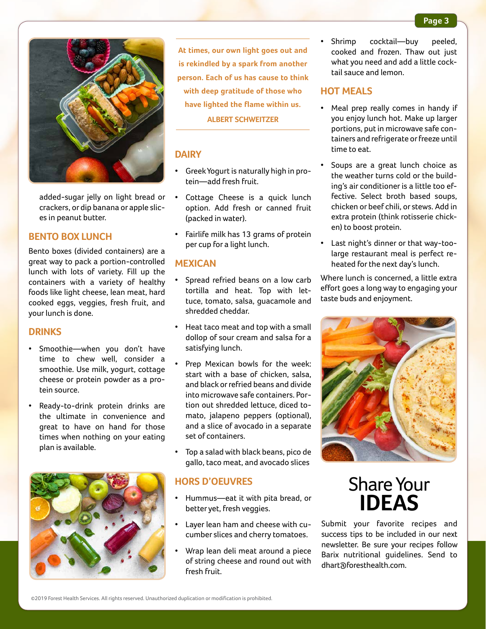

added-sugar jelly on light bread or crackers, or dip banana or apple slices in peanut butter.

#### **BENTO BOX LUNCH**

Bento boxes (divided containers) are a great way to pack a portion-controlled lunch with lots of variety. Fill up the containers with a variety of healthy foods like light cheese, lean meat, hard cooked eggs, veggies, fresh fruit, and your lunch is done.

#### **DRINKS**

- Smoothie—when you don't have time to chew well, consider a smoothie. Use milk, yogurt, cottage cheese or protein powder as a protein source.
- Ready-to-drink protein drinks are the ultimate in convenience and great to have on hand for those times when nothing on your eating plan is available.



**At times, our own light goes out and is rekindled by a spark from another person. Each of us has cause to think with deep gratitude of those who have lighted the flame within us. ALBERT SCHWEITZER**

#### **DAIRY**

- Greek Yogurt is naturally high in protein—add fresh fruit.
- Cottage Cheese is a quick lunch option. Add fresh or canned fruit (packed in water).
- Fairlife milk has 13 grams of protein per cup for a light lunch.

#### **MEXICAN**

- Spread refried beans on a low carb tortilla and heat. Top with lettuce, tomato, salsa, guacamole and shredded cheddar.
- Heat taco meat and top with a small dollop of sour cream and salsa for a satisfying lunch.
- Prep Mexican bowls for the week: start with a base of chicken, salsa, and black or refried beans and divide into microwave safe containers. Portion out shredded lettuce, diced tomato, jalapeno peppers (optional), and a slice of avocado in a separate set of containers.
- Top a salad with black beans, pico de gallo, taco meat, and avocado slices

#### **HORS D'OEUVRES**

- Hummus—eat it with pita bread, or better yet, fresh veggies.
- Layer lean ham and cheese with cucumber slices and cherry tomatoes.
- Wrap lean deli meat around a piece of string cheese and round out with fresh fruit.

Shrimp cocktail—buy peeled, cooked and frozen. Thaw out just what you need and add a little cocktail sauce and lemon.

#### **HOT MEALS**

- Meal prep really comes in handy if you enjoy lunch hot. Make up larger portions, put in microwave safe containers and refrigerate or freeze until time to eat.
- Soups are a great lunch choice as the weather turns cold or the building's air conditioner is a little too effective. Select broth based soups, chicken or beef chili, or stews. Add in extra protein (think rotisserie chicken) to boost protein.
- Last night's dinner or that way-toolarge restaurant meal is perfect reheated for the next day's lunch.

Where lunch is concerned, a little extra effort goes a long way to engaging your taste buds and enjoyment.



## Share Your **IDEAS**

Submit your favorite recipes and success tips to be included in our next newsletter. Be sure your recipes follow Barix nutritional guidelines. Send to dhart@foresthealth.com.